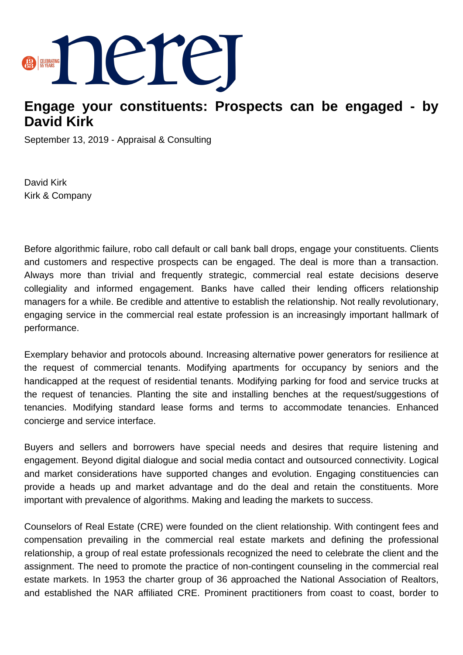

## **Engage your constituents: Prospects can be engaged - by David Kirk**

September 13, 2019 - Appraisal & Consulting

David Kirk Kirk & Company

Before algorithmic failure, robo call default or call bank ball drops, engage your constituents. Clients and customers and respective prospects can be engaged. The deal is more than a transaction. Always more than trivial and frequently strategic, commercial real estate decisions deserve collegiality and informed engagement. Banks have called their lending officers relationship managers for a while. Be credible and attentive to establish the relationship. Not really revolutionary, engaging service in the commercial real estate profession is an increasingly important hallmark of performance.

Exemplary behavior and protocols abound. Increasing alternative power generators for resilience at the request of commercial tenants. Modifying apartments for occupancy by seniors and the handicapped at the request of residential tenants. Modifying parking for food and service trucks at the request of tenancies. Planting the site and installing benches at the request/suggestions of tenancies. Modifying standard lease forms and terms to accommodate tenancies. Enhanced concierge and service interface.

Buyers and sellers and borrowers have special needs and desires that require listening and engagement. Beyond digital dialogue and social media contact and outsourced connectivity. Logical and market considerations have supported changes and evolution. Engaging constituencies can provide a heads up and market advantage and do the deal and retain the constituents. More important with prevalence of algorithms. Making and leading the markets to success.

Counselors of Real Estate (CRE) were founded on the client relationship. With contingent fees and compensation prevailing in the commercial real estate markets and defining the professional relationship, a group of real estate professionals recognized the need to celebrate the client and the assignment. The need to promote the practice of non-contingent counseling in the commercial real estate markets. In 1953 the charter group of 36 approached the National Association of Realtors, and established the NAR affiliated CRE. Prominent practitioners from coast to coast, border to